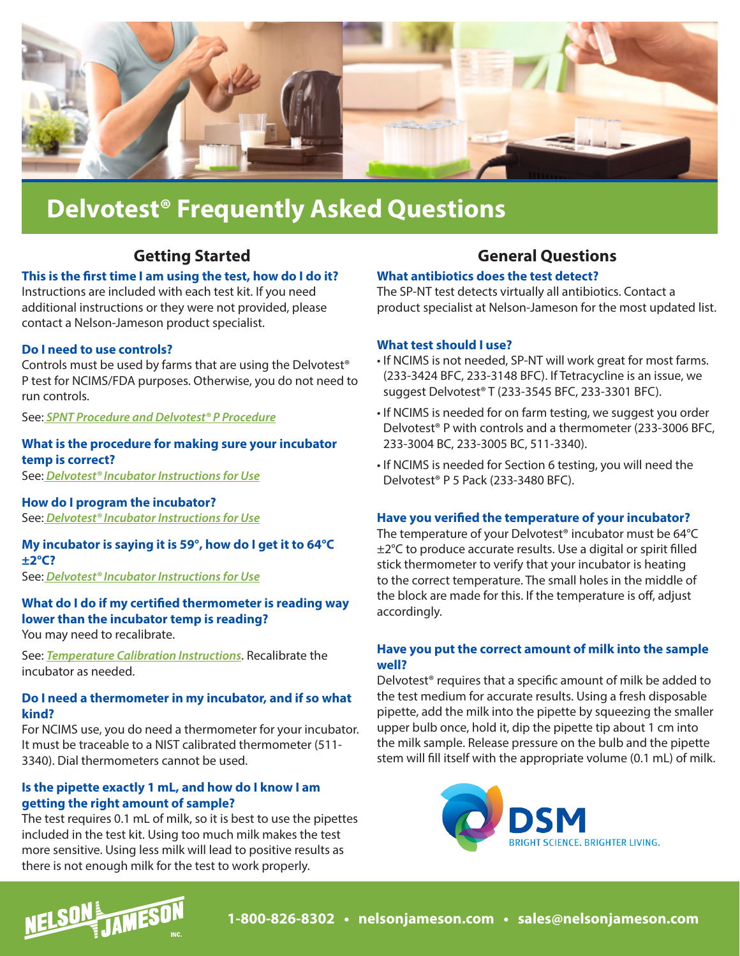

# **Delvotest® Frequently Asked Questions**

# **Getting Started**

## **This is the first time I am using the test, how do I do it?**

Instructions are included with each test kit. If you need additional instructions or they were not provided, please contact a Nelson-Jameson product specialist.

## **Do I need to use controls?**

Controls must be used by farms that are using the Delvotest® P test for NCIMS/FDA purposes. Otherwise, you do not need to run controls.

See: *[SPNT Procedure and Delvotest® P Procedure](https://nelsonjameson.com/content/wp-content/uploads/2020/11/Delvotest-SPNT-and-T-Englishv1-STAMPED.pdf)*

#### **What is the procedure for making sure your incubator temp is correct?**

See: *[Delvotest® Incubator Instructions for Use](https://nelsonjameson.com/content/wp-content/uploads/2020/11/Instructions-for-use-delvotest-incubator-minis-english-898395-STAMPED.pdf)*

**How do I program the incubator?** See: *[Delvotest® Incubator Instructions for Use](https://nelsonjameson.com/content/wp-content/uploads/2020/11/Instructions-for-use-delvotest-incubator-minis-english-898395-STAMPED.pdf#page=3)*

# **My incubator is saying it is 59°, how do I get it to 64°C ±2°C?**

See: *[Delvotest® Incubator Instructions for Use](https://nelsonjameson.com/content/wp-content/uploads/2020/11/Instructions-for-use-delvotest-incubator-minis-english-898395-STAMPED.pdf)*

# **What do I do if my certified thermometer is reading way lower than the incubator temp is reading?**

You may need to recalibrate.

See: *[Temperature Calibration Instructions](https://nelsonjameson.com/content/wp-content/uploads/2020/11/Instructions-for-use-delvotest-incubator-minis-instructions-temperature-calibration-english-1060428-STAMPED.pdf)*. Recalibrate the incubator as needed.

#### **Do I need a thermometer in my incubator, and if so what kind?**

For NCIMS use, you do need a thermometer for your incubator. It must be traceable to a NIST calibrated thermometer [\(511-](https://nelsonjameson.com/Thermco-Deluxe-T-Handle-Water-Resistant-180-Rotating-Head-Digital-Thermometer-p1781.html) [3340](https://nelsonjameson.com/Thermco-Deluxe-T-Handle-Water-Resistant-180-Rotating-Head-Digital-Thermometer-p1781.html)). Dial thermometers cannot be used.

## **Is the pipette exactly 1 mL, and how do I know I am getting the right amount of sample?**

The test requires 0.1 mL of milk, so it is best to use the pipettes included in the test kit. Using too much milk makes the test more sensitive. Using less milk will lead to positive results as there is not enough milk for the test to work properly.

# **General Questions**

## **What antibiotics does the test detect?**

The SP-NT test detects virtually all antibiotics. Contact a product specialist at Nelson-Jameson for the most updated list.

#### **What test should I use?**

- If NCIMS is not needed, SP-NT will work great for most farms. [\(233-3424 BFC,](https://nelsonjameson.com/DELVOTEST-SP-NT-Test-Kit-p2679.html) [233-3148 BFC](https://nelsonjameson.com/DELVOTEST-SP-NT-Test-Kit-p2678.html)). If Tetracycline is an issue, we suggest Delvotest® T ([233-3545 BFC](https://nelsonjameson.com/DELVOTEST-T-Mini-25-tests-kit-p17658.html), [233-3301 BFC](https://nelsonjameson.com/DELVOTEST-T-100-100-tests-kit-p17659.html)).
- If NCIMS is needed for on farm testing, we suggest you order Delvotest® P with controls and a thermometer ([233-3006 BFC](https://nelsonjameson.com/DELVOTEST-P-Test-Kit-p2662.html), [233-3004 BC,](https://nelsonjameson.com/DELVOTEST-Penicillin-Controls-p2672.html) [233-3005 BC](https://nelsonjameson.com/DELVOTEST-Penicillin-Controls-p2673.html), [511-3340\)](https://nelsonjameson.com/Thermco-Deluxe-T-Handle-Water-Resistant-180-Rotating-Head-Digital-Thermometer-p1781.html).
- If NCIMS is needed for Section 6 testing, you will need the Delvotest® P 5 Pack [\(233-3480 BFC](https://nelsonjameson.com/DELVOTEST-P-Multi-5-Pack-p2680.html)).

#### **Have you verified the temperature of your incubator?**

The temperature of your Delvotest® incubator must be 64°C  $\pm$ 2°C to produce accurate results. Use a digital or spirit filled stick thermometer to verify that your incubator is heating to the correct temperature. The small holes in the middle of the block are made for this. If the temperature is off, adjust accordingly.

#### **Have you put the correct amount of milk into the sample well?**

Delvotest® requires that a specific amount of milk be added to the test medium for accurate results. Using a fresh disposable pipette, add the milk into the pipette by squeezing the smaller upper bulb once, hold it, dip the pipette tip about 1 cm into the milk sample. Release pressure on the bulb and the pipette stem will fill itself with the appropriate volume (0.1 mL) of milk.